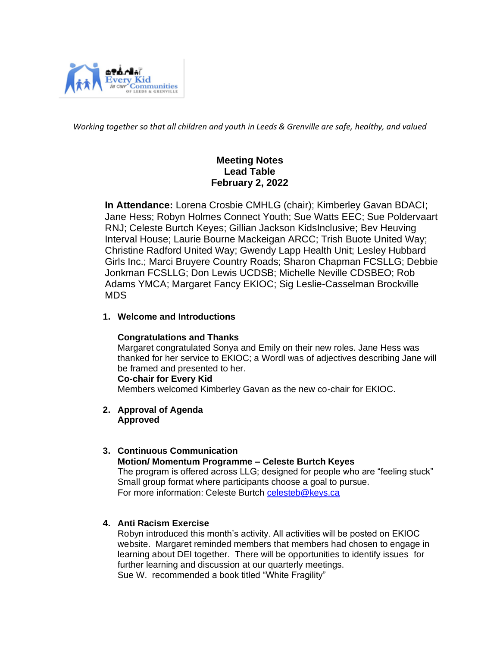

*Working together so that all children and youth in Leeds & Grenville are safe, healthy, and valued*

# **Meeting Notes Lead Table February 2, 2022**

 **In Attendance:** Lorena Crosbie CMHLG (chair); Kimberley Gavan BDACI; Jane Hess; Robyn Holmes Connect Youth; Sue Watts EEC; Sue Poldervaart RNJ; Celeste Burtch Keyes; Gillian Jackson KidsInclusive; Bev Heuving Interval House; Laurie Bourne Mackeigan ARCC; Trish Buote United Way; Christine Radford United Way; Gwendy Lapp Health Unit; Lesley Hubbard Girls Inc.; Marci Bruyere Country Roads; Sharon Chapman FCSLLG; Debbie Jonkman FCSLLG; Don Lewis UCDSB; Michelle Neville CDSBEO; Rob Adams YMCA; Margaret Fancy EKIOC; Sig Leslie-Casselman Brockville MDS

## **1. Welcome and Introductions**

## **Congratulations and Thanks**

Margaret congratulated Sonya and Emily on their new roles. Jane Hess was thanked for her service to EKIOC; a Wordl was of adjectives describing Jane will be framed and presented to her.

#### **Co-chair for Every Kid**

Members welcomed Kimberley Gavan as the new co-chair for EKIOC.

**2. Approval of Agenda Approved**

## **3. Continuous Communication**

#### **Motion/ Momentum Programme – Celeste Burtch Keyes**

The program is offered across LLG; designed for people who are "feeling stuck" Small group format where participants choose a goal to pursue. For more information: Celeste Burtch [celesteb@keys.ca](mailto:celesteb@keys.ca)

## **4. Anti Racism Exercise**

Robyn introduced this month's activity. All activities will be posted on EKIOC website. Margaret reminded members that members had chosen to engage in learning about DEI together. There will be opportunities to identify issues for further learning and discussion at our quarterly meetings. Sue W. recommended a book titled "White Fragility"